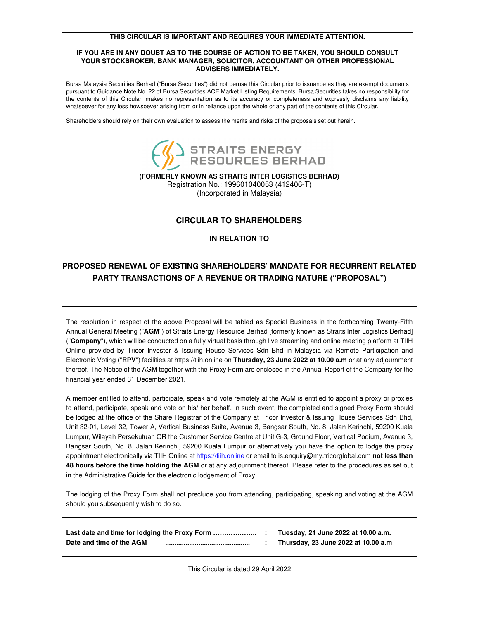#### **THIS CIRCULAR IS IMPORTANT AND REQUIRES YOUR IMMEDIATE ATTENTION.**

#### **IF YOU ARE IN ANY DOUBT AS TO THE COURSE OF ACTION TO BE TAKEN, YOU SHOULD CONSULT YOUR STOCKBROKER, BANK MANAGER, SOLICITOR, ACCOUNTANT OR OTHER PROFESSIONAL ADVISERS IMMEDIATELY.**

Bursa Malaysia Securities Berhad ("Bursa Securities") did not peruse this Circular prior to issuance as they are exempt documents pursuant to Guidance Note No. 22 of Bursa Securities ACE Market Listing Requirements. Bursa Securities takes no responsibility for the contents of this Circular, makes no representation as to its accuracy or completeness and expressly disclaims any liability whatsoever for any loss howsoever arising from or in reliance upon the whole or any part of the contents of this Circular.

Shareholders should rely on their own evaluation to assess the merits and risks of the proposals set out herein.



**(FORMERLY KNOWN AS STRAITS INTER LOGISTICS BERHAD)** 

Registration No.: 199601040053 (412406-T) (Incorporated in Malaysia)

# **CIRCULAR TO SHAREHOLDERS**

## **IN RELATION TO**

# **PROPOSED RENEWAL OF EXISTING SHAREHOLDERS' MANDATE FOR RECURRENT RELATED PARTY TRANSACTIONS OF A REVENUE OR TRADING NATURE ("PROPOSAL")**

The resolution in respect of the above Proposal will be tabled as Special Business in the forthcoming Twenty-Fifth Annual General Meeting ("**AGM**") of Straits Energy Resource Berhad [formerly known as Straits Inter Logistics Berhad] ("**Company**"), which will be conducted on a fully virtual basis through live streaming and online meeting platform at TIIH Online provided by Tricor Investor & Issuing House Services Sdn Bhd in Malaysia via Remote Participation and Electronic Voting ("**RPV**") facilities at https://tiih.online on **Thursday, 23 June 2022 at 10.00 a.m** or at any adjournment thereof. The Notice of the AGM together with the Proxy Form are enclosed in the Annual Report of the Company for the financial year ended 31 December 2021.

A member entitled to attend, participate, speak and vote remotely at the AGM is entitled to appoint a proxy or proxies to attend, participate, speak and vote on his/ her behalf. In such event, the completed and signed Proxy Form should be lodged at the office of the Share Registrar of the Company at Tricor Investor & Issuing House Services Sdn Bhd, Unit 32-01, Level 32, Tower A, Vertical Business Suite, Avenue 3, Bangsar South, No. 8, Jalan Kerinchi, 59200 Kuala Lumpur, Wilayah Persekutuan OR the Customer Service Centre at Unit G-3, Ground Floor, Vertical Podium, Avenue 3, Bangsar South, No. 8, Jalan Kerinchi, 59200 Kuala Lumpur or alternatively you have the option to lodge the proxy appointment electronically via TIIH Online at https://tiih.online or email to is.enquiry@my.tricorglobal.com **not less than 48 hours before the time holding the AGM** or at any adjournment thereof. Please refer to the procedures as set out in the Administrative Guide for the electronic lodgement of Proxy.

The lodging of the Proxy Form shall not preclude you from attending, participating, speaking and voting at the AGM should you subsequently wish to do so.

|                          |  | Tuesday, 21 June 2022 at 10.00 a.m. |
|--------------------------|--|-------------------------------------|
| Date and time of the AGM |  | Thursday, 23 June 2022 at 10.00 a.m |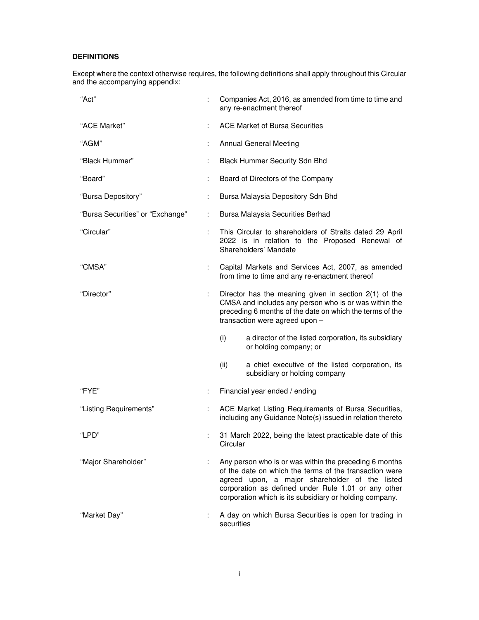# **DEFINITIONS**

Except where the context otherwise requires, the following definitions shall apply throughout this Circular and the accompanying appendix:

| "Act"                            |    | Companies Act, 2016, as amended from time to time and<br>any re-enactment thereof                                                                                                                                                                                                       |
|----------------------------------|----|-----------------------------------------------------------------------------------------------------------------------------------------------------------------------------------------------------------------------------------------------------------------------------------------|
| "ACE Market"                     |    | <b>ACE Market of Bursa Securities</b>                                                                                                                                                                                                                                                   |
| "AGM"                            |    | <b>Annual General Meeting</b>                                                                                                                                                                                                                                                           |
| "Black Hummer"                   | ÷  | <b>Black Hummer Security Sdn Bhd</b>                                                                                                                                                                                                                                                    |
| "Board"                          |    | Board of Directors of the Company                                                                                                                                                                                                                                                       |
| "Bursa Depository"               |    | Bursa Malaysia Depository Sdn Bhd                                                                                                                                                                                                                                                       |
| "Bursa Securities" or "Exchange" | t. | Bursa Malaysia Securities Berhad                                                                                                                                                                                                                                                        |
| "Circular"                       | ÷  | This Circular to shareholders of Straits dated 29 April<br>2022 is in relation to the Proposed Renewal of<br>Shareholders' Mandate                                                                                                                                                      |
| "CMSA"                           | t. | Capital Markets and Services Act, 2007, as amended<br>from time to time and any re-enactment thereof                                                                                                                                                                                    |
| "Director"                       | ÷. | Director has the meaning given in section $2(1)$ of the<br>CMSA and includes any person who is or was within the<br>preceding 6 months of the date on which the terms of the<br>transaction were agreed upon -                                                                          |
|                                  |    | (i)<br>a director of the listed corporation, its subsidiary<br>or holding company; or                                                                                                                                                                                                   |
|                                  |    | (ii)<br>a chief executive of the listed corporation, its<br>subsidiary or holding company                                                                                                                                                                                               |
| "FYE"                            | ÷. | Financial year ended / ending                                                                                                                                                                                                                                                           |
| "Listing Requirements"           |    | ACE Market Listing Requirements of Bursa Securities,<br>including any Guidance Note(s) issued in relation thereto                                                                                                                                                                       |
| "LPD"                            |    | 31 March 2022, being the latest practicable date of this<br>Circular                                                                                                                                                                                                                    |
| "Major Shareholder"              |    | Any person who is or was within the preceding 6 months<br>of the date on which the terms of the transaction were<br>agreed upon, a major shareholder of the<br>listed<br>corporation as defined under Rule 1.01 or any other<br>corporation which is its subsidiary or holding company. |
| "Market Day"                     |    | A day on which Bursa Securities is open for trading in<br>securities                                                                                                                                                                                                                    |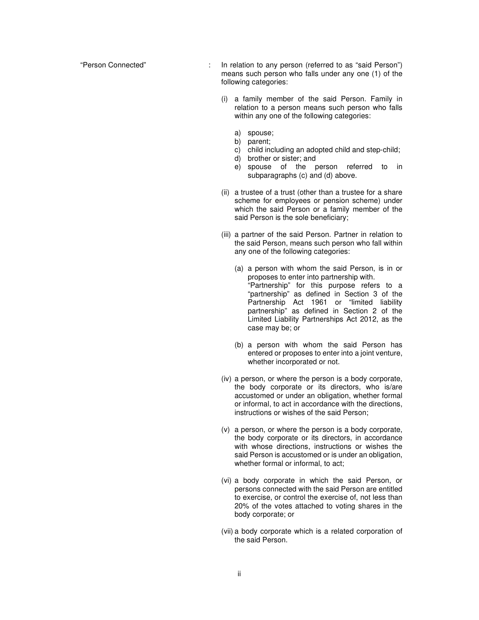"Person Connected" : In relation to any person (referred to as "said Person") means such person who falls under any one (1) of the following categories:

- (i) a family member of the said Person. Family in relation to a person means such person who falls within any one of the following categories:
	- a) spouse;
	- b) parent;
	- c) child including an adopted child and step-child;
	- d) brother or sister; and
	- e) spouse of the person referred to in subparagraphs (c) and (d) above.
- (ii) a trustee of a trust (other than a trustee for a share scheme for employees or pension scheme) under which the said Person or a family member of the said Person is the sole beneficiary;
- (iii) a partner of the said Person. Partner in relation to the said Person, means such person who fall within any one of the following categories:
	- (a) a person with whom the said Person, is in or proposes to enter into partnership with. "Partnership" for this purpose refers to a "partnership" as defined in Section 3 of the Partnership Act 1961 or "limited liability partnership" as defined in Section 2 of the Limited Liability Partnerships Act 2012, as the case may be; or
	- (b) a person with whom the said Person has entered or proposes to enter into a joint venture, whether incorporated or not.
- (iv) a person, or where the person is a body corporate, the body corporate or its directors, who is/are accustomed or under an obligation, whether formal or informal, to act in accordance with the directions, instructions or wishes of the said Person;
- (v) a person, or where the person is a body corporate, the body corporate or its directors, in accordance with whose directions, instructions or wishes the said Person is accustomed or is under an obligation, whether formal or informal, to act;
- (vi) a body corporate in which the said Person, or persons connected with the said Person are entitled to exercise, or control the exercise of, not less than 20% of the votes attached to voting shares in the body corporate; or
- (vii) a body corporate which is a related corporation of the said Person.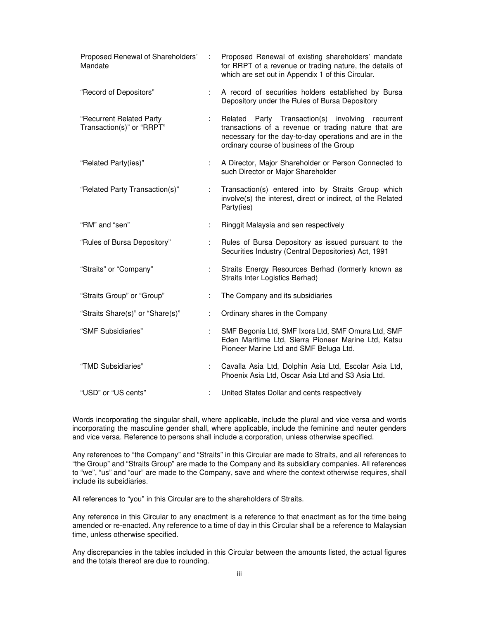| Proposed Renewal of Shareholders'<br>Mandate          | ÷  | Proposed Renewal of existing shareholders' mandate<br>for RRPT of a revenue or trading nature, the details of<br>which are set out in Appendix 1 of this Circular.                                                |
|-------------------------------------------------------|----|-------------------------------------------------------------------------------------------------------------------------------------------------------------------------------------------------------------------|
| "Record of Depositors"                                | ÷. | A record of securities holders established by Bursa<br>Depository under the Rules of Bursa Depository                                                                                                             |
| "Recurrent Related Party<br>Transaction(s)" or "RRPT" | ÷. | Related Party Transaction(s) involving<br>recurrent<br>transactions of a revenue or trading nature that are<br>necessary for the day-to-day operations and are in the<br>ordinary course of business of the Group |
| "Related Party(ies)"                                  | ÷. | A Director, Major Shareholder or Person Connected to<br>such Director or Major Shareholder                                                                                                                        |
| "Related Party Transaction(s)"                        |    | Transaction(s) entered into by Straits Group which<br>involve(s) the interest, direct or indirect, of the Related<br>Party(ies)                                                                                   |
| "RM" and "sen"                                        | ÷  | Ringgit Malaysia and sen respectively                                                                                                                                                                             |
| "Rules of Bursa Depository"                           |    | Rules of Bursa Depository as issued pursuant to the<br>Securities Industry (Central Depositories) Act, 1991                                                                                                       |
| "Straits" or "Company"                                | ÷. | Straits Energy Resources Berhad (formerly known as<br>Straits Inter Logistics Berhad)                                                                                                                             |
| "Straits Group" or "Group"                            | ÷  | The Company and its subsidiaries                                                                                                                                                                                  |
| "Straits Share(s)" or "Share(s)"                      | ÷  | Ordinary shares in the Company                                                                                                                                                                                    |
| "SMF Subsidiaries"                                    |    | SMF Begonia Ltd, SMF Ixora Ltd, SMF Omura Ltd, SMF<br>Eden Maritime Ltd, Sierra Pioneer Marine Ltd, Katsu<br>Pioneer Marine Ltd and SMF Beluga Ltd.                                                               |
| "TMD Subsidiaries"                                    | ÷. | Cavalla Asia Ltd, Dolphin Asia Ltd, Escolar Asia Ltd,<br>Phoenix Asia Ltd, Oscar Asia Ltd and S3 Asia Ltd.                                                                                                        |
| "USD" or "US cents"                                   | ÷  | United States Dollar and cents respectively                                                                                                                                                                       |

Words incorporating the singular shall, where applicable, include the plural and vice versa and words incorporating the masculine gender shall, where applicable, include the feminine and neuter genders and vice versa. Reference to persons shall include a corporation, unless otherwise specified.

Any references to "the Company" and "Straits" in this Circular are made to Straits, and all references to "the Group" and "Straits Group" are made to the Company and its subsidiary companies. All references to "we", "us" and "our" are made to the Company, save and where the context otherwise requires, shall include its subsidiaries.

All references to "you" in this Circular are to the shareholders of Straits.

Any reference in this Circular to any enactment is a reference to that enactment as for the time being amended or re-enacted. Any reference to a time of day in this Circular shall be a reference to Malaysian time, unless otherwise specified.

Any discrepancies in the tables included in this Circular between the amounts listed, the actual figures and the totals thereof are due to rounding.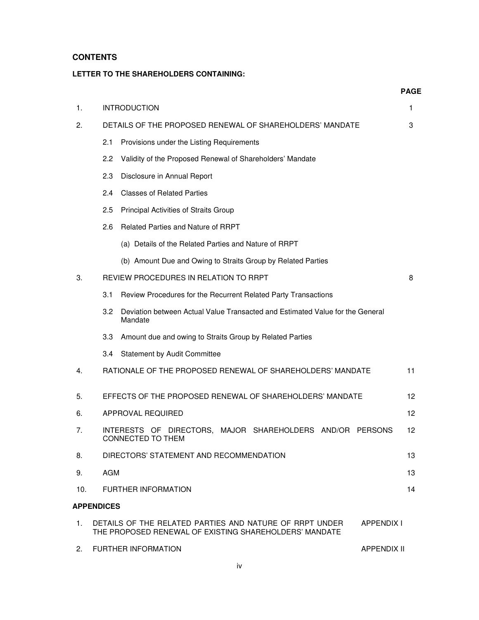# **CONTENTS**

# **LETTER TO THE SHAREHOLDERS CONTAINING:**

|     |                   |                                                                                                                   | <b>PAGE</b>        |  |  |  |  |  |  |
|-----|-------------------|-------------------------------------------------------------------------------------------------------------------|--------------------|--|--|--|--|--|--|
| 1.  |                   | <b>INTRODUCTION</b>                                                                                               | 1                  |  |  |  |  |  |  |
| 2.  |                   | DETAILS OF THE PROPOSED RENEWAL OF SHAREHOLDERS' MANDATE                                                          | 3                  |  |  |  |  |  |  |
|     | 2.1               | Provisions under the Listing Requirements                                                                         |                    |  |  |  |  |  |  |
|     | 2.2               | Validity of the Proposed Renewal of Shareholders' Mandate                                                         |                    |  |  |  |  |  |  |
|     | 2.3               | Disclosure in Annual Report                                                                                       |                    |  |  |  |  |  |  |
|     |                   | 2.4<br><b>Classes of Related Parties</b>                                                                          |                    |  |  |  |  |  |  |
|     | 2.5               | Principal Activities of Straits Group                                                                             |                    |  |  |  |  |  |  |
|     | 2.6               | Related Parties and Nature of RRPT                                                                                |                    |  |  |  |  |  |  |
|     |                   | (a) Details of the Related Parties and Nature of RRPT                                                             |                    |  |  |  |  |  |  |
|     |                   | (b) Amount Due and Owing to Straits Group by Related Parties                                                      |                    |  |  |  |  |  |  |
| 3.  |                   | REVIEW PROCEDURES IN RELATION TO RRPT                                                                             | 8                  |  |  |  |  |  |  |
|     | 3.1               | Review Procedures for the Recurrent Related Party Transactions                                                    |                    |  |  |  |  |  |  |
|     | 3.2               | Deviation between Actual Value Transacted and Estimated Value for the General<br>Mandate                          |                    |  |  |  |  |  |  |
|     | 3.3 <sub>1</sub>  | Amount due and owing to Straits Group by Related Parties                                                          |                    |  |  |  |  |  |  |
|     | 3.4               | <b>Statement by Audit Committee</b>                                                                               |                    |  |  |  |  |  |  |
| 4.  |                   | RATIONALE OF THE PROPOSED RENEWAL OF SHAREHOLDERS' MANDATE                                                        | 11                 |  |  |  |  |  |  |
| 5.  |                   | EFFECTS OF THE PROPOSED RENEWAL OF SHAREHOLDERS' MANDATE                                                          | 12 <sup>2</sup>    |  |  |  |  |  |  |
| 6.  |                   | APPROVAL REQUIRED                                                                                                 | $12 \overline{ }$  |  |  |  |  |  |  |
| 7.  |                   | INTERESTS OF DIRECTORS, MAJOR SHAREHOLDERS AND/OR PERSONS<br>CONNECTED TO THEM                                    | 12                 |  |  |  |  |  |  |
| 8.  |                   | DIRECTORS' STATEMENT AND RECOMMENDATION                                                                           | 13                 |  |  |  |  |  |  |
| 9.  | <b>AGM</b>        |                                                                                                                   | 13                 |  |  |  |  |  |  |
| 10. |                   | FURTHER INFORMATION                                                                                               | 14                 |  |  |  |  |  |  |
|     | <b>APPENDICES</b> |                                                                                                                   |                    |  |  |  |  |  |  |
| 1.  |                   | DETAILS OF THE RELATED PARTIES AND NATURE OF RRPT UNDER<br>THE PROPOSED RENEWAL OF EXISTING SHAREHOLDERS' MANDATE | <b>APPENDIX I</b>  |  |  |  |  |  |  |
| 2.  |                   | <b>FURTHER INFORMATION</b>                                                                                        | <b>APPENDIX II</b> |  |  |  |  |  |  |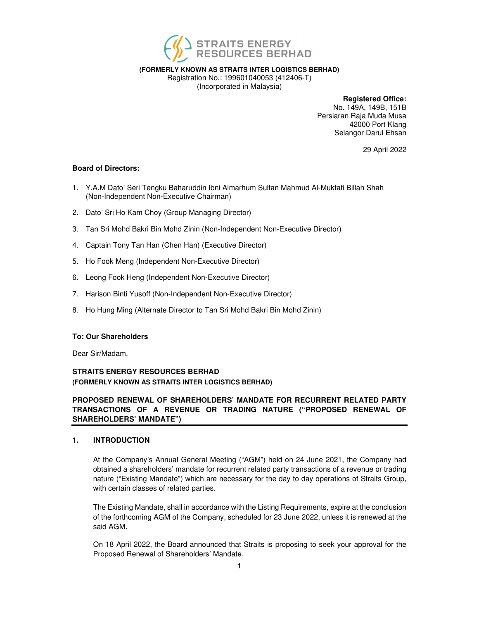

**(FORMERLY KNOWN AS STRAITS INTER LOGISTICS BERHAD)** 

Registration No.: 199601040053 (412406-T) (Incorporated in Malaysia)

**Registered Office:** 

No. 149A, 149B, 151B Persiaran Raja Muda Musa 42000 Port Klang Selangor Darul Ehsan

29 April 2022

## **Board of Directors:**

- 1. Y.A.M Dato' Seri Tengku Baharuddin Ibni Almarhum Sultan Mahmud Al-Muktafi Billah Shah (Non-Independent Non-Executive Chairman)
- 2. Dato' Sri Ho Kam Choy (Group Managing Director)
- 3. Tan Sri Mohd Bakri Bin Mohd Zinin (Non-Independent Non-Executive Director)
- 4. Captain Tony Tan Han (Chen Han) (Executive Director)
- 5. Ho Fook Meng (Independent Non-Executive Director)
- 6. Leong Fook Heng (Independent Non-Executive Director)
- 7. Harison Binti Yusoff (Non-Independent Non-Executive Director)
- 8. Ho Hung Ming (Alternate Director to Tan Sri Mohd Bakri Bin Mohd Zinin)

## **To: Our Shareholders**

Dear Sir/Madam,

# **STRAITS ENERGY RESOURCES BERHAD (FORMERLY KNOWN AS STRAITS INTER LOGISTICS BERHAD)**

# **PROPOSED RENEWAL OF SHAREHOLDERS' MANDATE FOR RECURRENT RELATED PARTY TRANSACTIONS OF A REVENUE OR TRADING NATURE ("PROPOSED RENEWAL OF SHAREHOLDERS' MANDATE")**

## **1. INTRODUCTION**

At the Company's Annual General Meeting ("AGM") held on 24 June 2021, the Company had obtained a shareholders' mandate for recurrent related party transactions of a revenue or trading nature ("Existing Mandate") which are necessary for the day to day operations of Straits Group, with certain classes of related parties.

The Existing Mandate, shall in accordance with the Listing Requirements, expire at the conclusion of the forthcoming AGM of the Company, scheduled for 23 June 2022, unless it is renewed at the said AGM.

On 18 April 2022, the Board announced that Straits is proposing to seek your approval for the Proposed Renewal of Shareholders' Mandate.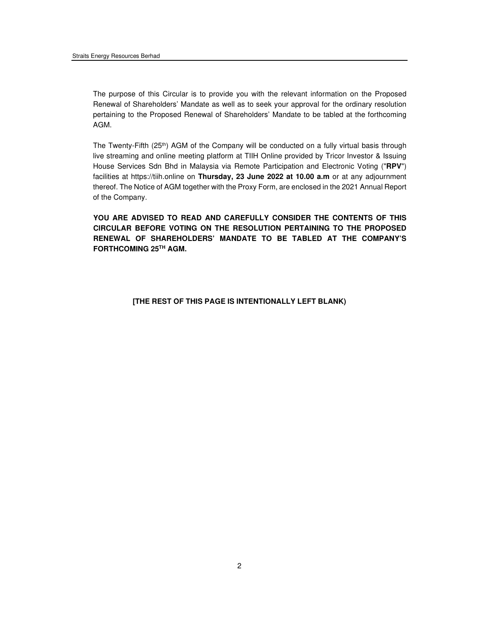The purpose of this Circular is to provide you with the relevant information on the Proposed Renewal of Shareholders' Mandate as well as to seek your approval for the ordinary resolution pertaining to the Proposed Renewal of Shareholders' Mandate to be tabled at the forthcoming AGM.

The Twenty-Fifth (25th) AGM of the Company will be conducted on a fully virtual basis through live streaming and online meeting platform at TIIH Online provided by Tricor Investor & Issuing House Services Sdn Bhd in Malaysia via Remote Participation and Electronic Voting ("**RPV**") facilities at https://tiih.online on **Thursday, 23 June 2022 at 10.00 a.m** or at any adjournment thereof. The Notice of AGM together with the Proxy Form, are enclosed in the 2021 Annual Report of the Company.

**YOU ARE ADVISED TO READ AND CAREFULLY CONSIDER THE CONTENTS OF THIS CIRCULAR BEFORE VOTING ON THE RESOLUTION PERTAINING TO THE PROPOSED RENEWAL OF SHAREHOLDERS' MANDATE TO BE TABLED AT THE COMPANY'S FORTHCOMING 25TH AGM.** 

#### **[THE REST OF THIS PAGE IS INTENTIONALLY LEFT BLANK)**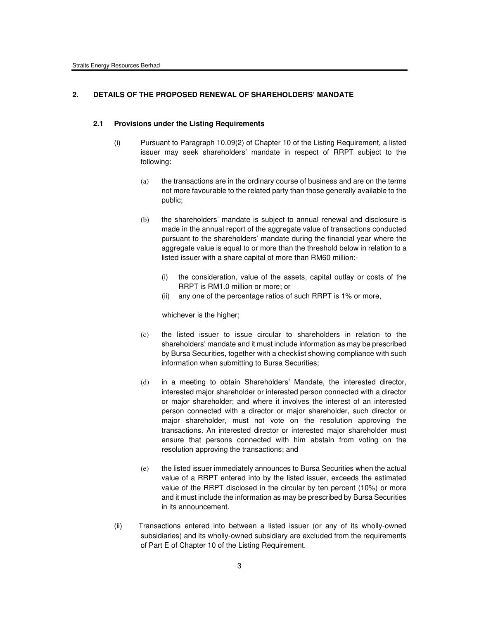# **2. DETAILS OF THE PROPOSED RENEWAL OF SHAREHOLDERS' MANDATE**

#### **2.1 Provisions under the Listing Requirements**

- (i) Pursuant to Paragraph 10.09(2) of Chapter 10 of the Listing Requirement, a listed issuer may seek shareholders' mandate in respect of RRPT subject to the following:
	- (a) the transactions are in the ordinary course of business and are on the terms not more favourable to the related party than those generally available to the public;
	- (b) the shareholders' mandate is subject to annual renewal and disclosure is made in the annual report of the aggregate value of transactions conducted pursuant to the shareholders' mandate during the financial year where the aggregate value is equal to or more than the threshold below in relation to a listed issuer with a share capital of more than RM60 million:-
		- (i) the consideration, value of the assets, capital outlay or costs of the RRPT is RM1.0 million or more; or
		- (ii) any one of the percentage ratios of such RRPT is 1% or more,

whichever is the higher;

- (c) the listed issuer to issue circular to shareholders in relation to the shareholders' mandate and it must include information as may be prescribed by Bursa Securities, together with a checklist showing compliance with such information when submitting to Bursa Securities;
- (d) in a meeting to obtain Shareholders' Mandate, the interested director, interested major shareholder or interested person connected with a director or major shareholder; and where it involves the interest of an interested person connected with a director or major shareholder, such director or major shareholder, must not vote on the resolution approving the transactions. An interested director or interested major shareholder must ensure that persons connected with him abstain from voting on the resolution approving the transactions; and
- (e) the listed issuer immediately announces to Bursa Securities when the actual value of a RRPT entered into by the listed issuer, exceeds the estimated value of the RRPT disclosed in the circular by ten percent (10%) or more and it must include the information as may be prescribed by Bursa Securities in its announcement.
- (ii) Transactions entered into between a listed issuer (or any of its wholly-owned subsidiaries) and its wholly-owned subsidiary are excluded from the requirements of Part E of Chapter 10 of the Listing Requirement.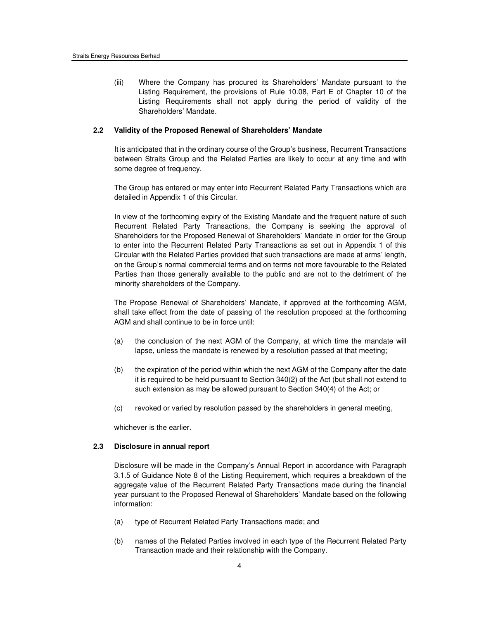(iii) Where the Company has procured its Shareholders' Mandate pursuant to the Listing Requirement, the provisions of Rule 10.08, Part E of Chapter 10 of the Listing Requirements shall not apply during the period of validity of the Shareholders' Mandate.

#### **2.2 Validity of the Proposed Renewal of Shareholders' Mandate**

It is anticipated that in the ordinary course of the Group's business, Recurrent Transactions between Straits Group and the Related Parties are likely to occur at any time and with some degree of frequency.

The Group has entered or may enter into Recurrent Related Party Transactions which are detailed in Appendix 1 of this Circular.

In view of the forthcoming expiry of the Existing Mandate and the frequent nature of such Recurrent Related Party Transactions, the Company is seeking the approval of Shareholders for the Proposed Renewal of Shareholders' Mandate in order for the Group to enter into the Recurrent Related Party Transactions as set out in Appendix 1 of this Circular with the Related Parties provided that such transactions are made at arms' length, on the Group's normal commercial terms and on terms not more favourable to the Related Parties than those generally available to the public and are not to the detriment of the minority shareholders of the Company.

The Propose Renewal of Shareholders' Mandate, if approved at the forthcoming AGM, shall take effect from the date of passing of the resolution proposed at the forthcoming AGM and shall continue to be in force until:

- (a) the conclusion of the next AGM of the Company, at which time the mandate will lapse, unless the mandate is renewed by a resolution passed at that meeting;
- (b) the expiration of the period within which the next AGM of the Company after the date it is required to be held pursuant to Section 340(2) of the Act (but shall not extend to such extension as may be allowed pursuant to Section 340(4) of the Act; or
- (c) revoked or varied by resolution passed by the shareholders in general meeting,

whichever is the earlier.

#### **2.3 Disclosure in annual report**

Disclosure will be made in the Company's Annual Report in accordance with Paragraph 3.1.5 of Guidance Note 8 of the Listing Requirement, which requires a breakdown of the aggregate value of the Recurrent Related Party Transactions made during the financial year pursuant to the Proposed Renewal of Shareholders' Mandate based on the following information:

- (a) type of Recurrent Related Party Transactions made; and
- (b) names of the Related Parties involved in each type of the Recurrent Related Party Transaction made and their relationship with the Company.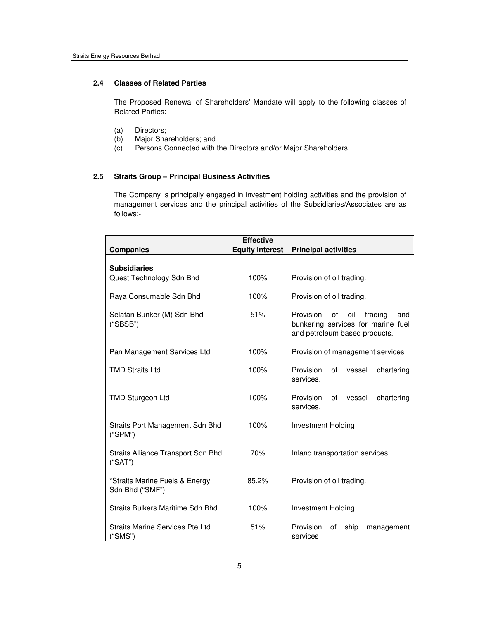#### **2.4 Classes of Related Parties**

The Proposed Renewal of Shareholders' Mandate will apply to the following classes of Related Parties:

- (a) Directors;<br>(b) Major Sha
- (b) Major Shareholders; and<br>(c) Persons Connected with
- Persons Connected with the Directors and/or Major Shareholders.

# **2.5 Straits Group – Principal Business Activities**

 The Company is principally engaged in investment holding activities and the provision of management services and the principal activities of the Subsidiaries/Associates are as follows:-

| <b>Companies</b>                                  | <b>Effective</b><br><b>Equity Interest</b> | <b>Principal activities</b>                                                                                     |  |  |  |  |
|---------------------------------------------------|--------------------------------------------|-----------------------------------------------------------------------------------------------------------------|--|--|--|--|
| <b>Subsidiaries</b>                               |                                            |                                                                                                                 |  |  |  |  |
| Quest Technology Sdn Bhd                          | 100%                                       | Provision of oil trading.                                                                                       |  |  |  |  |
| Raya Consumable Sdn Bhd                           | 100%                                       | Provision of oil trading.                                                                                       |  |  |  |  |
| Selatan Bunker (M) Sdn Bhd<br>("SBSB")            | 51%                                        | Provision<br>οf<br>oil<br>trading<br>and<br>bunkering services for marine fuel<br>and petroleum based products. |  |  |  |  |
| Pan Management Services Ltd                       | 100%                                       | Provision of management services                                                                                |  |  |  |  |
| <b>TMD Straits Ltd</b>                            | 100%                                       | Provision<br>of<br>vessel<br>chartering<br>services.                                                            |  |  |  |  |
| <b>TMD Sturgeon Ltd</b>                           | 100%                                       | Provision<br>chartering<br>οf<br>vessel<br>services.                                                            |  |  |  |  |
| Straits Port Management Sdn Bhd<br>("SPM")        | 100%                                       | Investment Holding                                                                                              |  |  |  |  |
| Straits Alliance Transport Sdn Bhd<br>("SAT")     | 70%                                        | Inland transportation services.                                                                                 |  |  |  |  |
| *Straits Marine Fuels & Energy<br>Sdn Bhd ("SMF") | 85.2%                                      | Provision of oil trading.                                                                                       |  |  |  |  |
| Straits Bulkers Maritime Sdn Bhd                  | 100%                                       | <b>Investment Holding</b>                                                                                       |  |  |  |  |
| Straits Marine Services Pte Ltd<br>"SMS")         | 51%                                        | Provision<br>ship<br>οf<br>management<br>services                                                               |  |  |  |  |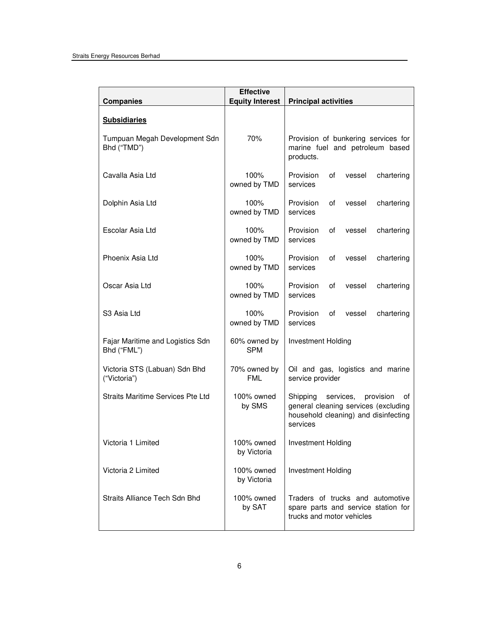| <b>Companies</b>                                | <b>Effective</b><br><b>Equity Interest</b> | <b>Principal activities</b>                                                                                                          |
|-------------------------------------------------|--------------------------------------------|--------------------------------------------------------------------------------------------------------------------------------------|
| <b>Subsidiaries</b>                             |                                            |                                                                                                                                      |
| Tumpuan Megah Development Sdn<br>Bhd ("TMD")    | 70%                                        | Provision of bunkering services for<br>marine fuel and petroleum based<br>products.                                                  |
| Cavalla Asia Ltd                                | 100%<br>owned by TMD                       | Provision<br>οf<br>vessel<br>chartering<br>services                                                                                  |
| Dolphin Asia Ltd                                | 100%<br>owned by TMD                       | Provision<br>of<br>chartering<br>vessel<br>services                                                                                  |
| Escolar Asia Ltd                                | 100%<br>owned by TMD                       | Provision<br>0f<br>vessel<br>chartering<br>services                                                                                  |
| Phoenix Asia Ltd                                | 100%<br>owned by TMD                       | Provision<br>of<br>vessel<br>chartering<br>services                                                                                  |
| Oscar Asia Ltd                                  | 100%<br>owned by TMD                       | Provision<br>0f<br>vessel<br>chartering<br>services                                                                                  |
| S3 Asia Ltd                                     | 100%<br>owned by TMD                       | Provision<br>of<br>vessel<br>chartering<br>services                                                                                  |
| Fajar Maritime and Logistics Sdn<br>Bhd ("FML") | 60% owned by<br><b>SPM</b>                 | Investment Holding                                                                                                                   |
| Victoria STS (Labuan) Sdn Bhd<br>("Victoria")   | 70% owned by<br><b>FML</b>                 | Oil and gas, logistics and marine<br>service provider                                                                                |
| <b>Straits Maritime Services Pte Ltd</b>        | 100% owned<br>by SMS                       | services,<br>Shipping<br>provision<br>οf<br>general cleaning services (excluding<br>household cleaning) and disinfecting<br>services |
| Victoria 1 Limited                              | 100% owned<br>by Victoria                  | Investment Holding                                                                                                                   |
| Victoria 2 Limited                              | 100% owned<br>by Victoria                  | Investment Holding                                                                                                                   |
| Straits Alliance Tech Sdn Bhd                   | 100% owned<br>by SAT                       | Traders of trucks and automotive<br>spare parts and service station for<br>trucks and motor vehicles                                 |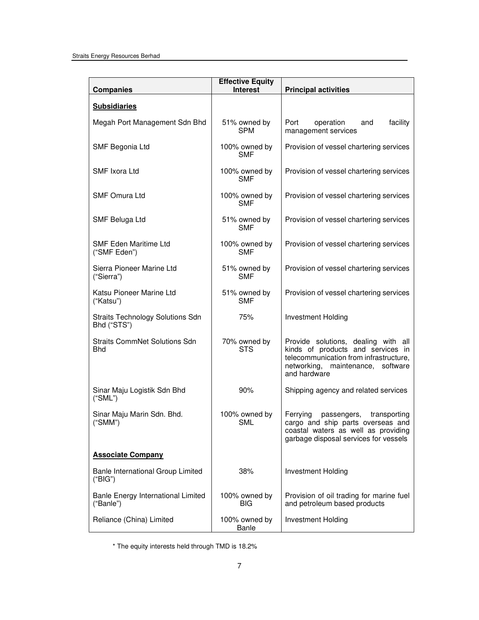| <b>Companies</b>                                       | <b>Effective Equity</b><br><b>Interest</b> | <b>Principal activities</b>                                                                                                                                             |
|--------------------------------------------------------|--------------------------------------------|-------------------------------------------------------------------------------------------------------------------------------------------------------------------------|
| <b>Subsidiaries</b>                                    |                                            |                                                                                                                                                                         |
| Megah Port Management Sdn Bhd                          | 51% owned by<br><b>SPM</b>                 | Port<br>operation<br>facility<br>and<br>management services                                                                                                             |
| SMF Begonia Ltd                                        | 100% owned by<br><b>SMF</b>                | Provision of vessel chartering services                                                                                                                                 |
| SMF Ixora Ltd                                          | 100% owned by<br><b>SMF</b>                | Provision of vessel chartering services                                                                                                                                 |
| <b>SMF Omura Ltd</b>                                   | 100% owned by<br><b>SMF</b>                | Provision of vessel chartering services                                                                                                                                 |
| SMF Beluga Ltd                                         | 51% owned by<br><b>SMF</b>                 | Provision of vessel chartering services                                                                                                                                 |
| <b>SMF Eden Maritime Ltd</b><br>("SMF Eden")           | 100% owned by<br><b>SMF</b>                | Provision of vessel chartering services                                                                                                                                 |
| Sierra Pioneer Marine Ltd<br>("Sierra")                | 51% owned by<br><b>SMF</b>                 | Provision of vessel chartering services                                                                                                                                 |
| Katsu Pioneer Marine Ltd<br>("Katsu")                  | 51% owned by<br><b>SMF</b>                 | Provision of vessel chartering services                                                                                                                                 |
| <b>Straits Technology Solutions Sdn</b><br>Bhd ("STS") | 75%                                        | <b>Investment Holding</b>                                                                                                                                               |
| <b>Straits CommNet Solutions Sdn</b><br><b>Bhd</b>     | 70% owned by<br><b>STS</b>                 | Provide solutions, dealing with all<br>kinds of products and services in<br>telecommunication from infrastructure,<br>networking, maintenance, software<br>and hardware |
| Sinar Maju Logistik Sdn Bhd<br>("SML")                 | 90%                                        | Shipping agency and related services                                                                                                                                    |
| Sinar Maju Marin Sdn. Bhd.<br>("SMM")                  | 100% owned by<br>SML                       | Ferrying<br>passengers,<br>transporting<br>cargo and ship parts overseas and<br>coastal waters as well as providing<br>garbage disposal services for vessels            |
| <b>Associate Company</b>                               |                                            |                                                                                                                                                                         |
| Banle International Group Limited<br>("BIG")           | 38%                                        | Investment Holding                                                                                                                                                      |
| Banle Energy International Limited<br>("Banle")        | 100% owned by<br>BIG                       | Provision of oil trading for marine fuel<br>and petroleum based products                                                                                                |
| Reliance (China) Limited                               | 100% owned by<br>Banle                     | <b>Investment Holding</b>                                                                                                                                               |

\* The equity interests held through TMD is 18.2%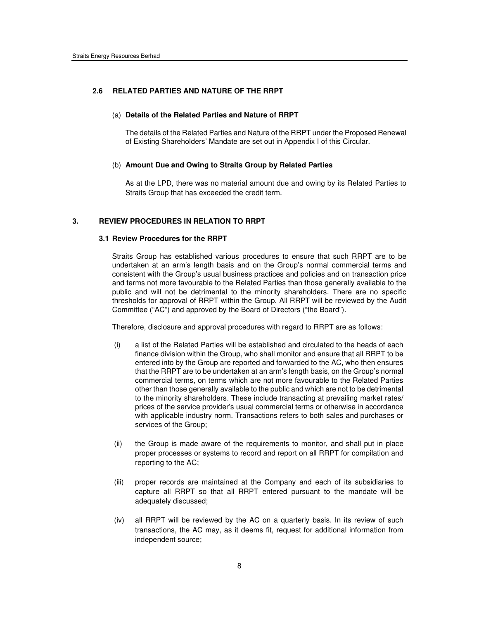#### **2.6 RELATED PARTIES AND NATURE OF THE RRPT**

#### (a) **Details of the Related Parties and Nature of RRPT**

The details of the Related Parties and Nature of the RRPT under the Proposed Renewal of Existing Shareholders' Mandate are set out in Appendix I of this Circular.

#### (b) **Amount Due and Owing to Straits Group by Related Parties**

As at the LPD, there was no material amount due and owing by its Related Parties to Straits Group that has exceeded the credit term.

#### **3. REVIEW PROCEDURES IN RELATION TO RRPT**

#### **3.1 Review Procedures for the RRPT**

Straits Group has established various procedures to ensure that such RRPT are to be undertaken at an arm's length basis and on the Group's normal commercial terms and consistent with the Group's usual business practices and policies and on transaction price and terms not more favourable to the Related Parties than those generally available to the public and will not be detrimental to the minority shareholders. There are no specific thresholds for approval of RRPT within the Group. All RRPT will be reviewed by the Audit Committee ("AC") and approved by the Board of Directors ("the Board").

Therefore, disclosure and approval procedures with regard to RRPT are as follows:

- (i) a list of the Related Parties will be established and circulated to the heads of each finance division within the Group, who shall monitor and ensure that all RRPT to be entered into by the Group are reported and forwarded to the AC, who then ensures that the RRPT are to be undertaken at an arm's length basis, on the Group's normal commercial terms, on terms which are not more favourable to the Related Parties other than those generally available to the public and which are not to be detrimental to the minority shareholders. These include transacting at prevailing market rates/ prices of the service provider's usual commercial terms or otherwise in accordance with applicable industry norm. Transactions refers to both sales and purchases or services of the Group;
- (ii) the Group is made aware of the requirements to monitor, and shall put in place proper processes or systems to record and report on all RRPT for compilation and reporting to the AC;
- (iii) proper records are maintained at the Company and each of its subsidiaries to capture all RRPT so that all RRPT entered pursuant to the mandate will be adequately discussed;
- (iv) all RRPT will be reviewed by the AC on a quarterly basis. In its review of such transactions, the AC may, as it deems fit, request for additional information from independent source;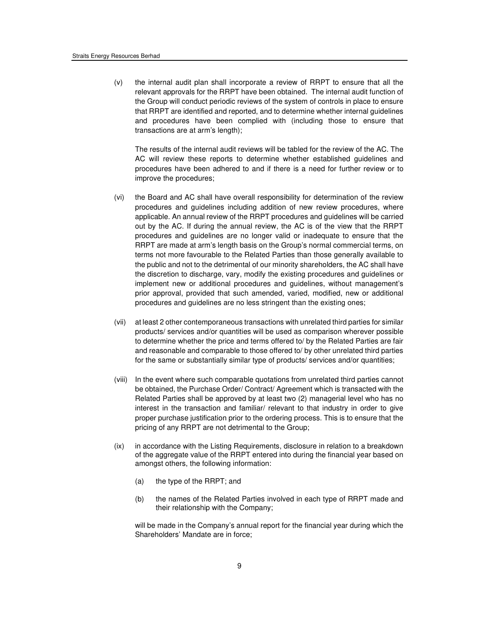(v) the internal audit plan shall incorporate a review of RRPT to ensure that all the relevant approvals for the RRPT have been obtained. The internal audit function of the Group will conduct periodic reviews of the system of controls in place to ensure that RRPT are identified and reported, and to determine whether internal guidelines and procedures have been complied with (including those to ensure that transactions are at arm's length);

The results of the internal audit reviews will be tabled for the review of the AC. The AC will review these reports to determine whether established guidelines and procedures have been adhered to and if there is a need for further review or to improve the procedures;

- (vi) the Board and AC shall have overall responsibility for determination of the review procedures and guidelines including addition of new review procedures, where applicable. An annual review of the RRPT procedures and guidelines will be carried out by the AC. If during the annual review, the AC is of the view that the RRPT procedures and guidelines are no longer valid or inadequate to ensure that the RRPT are made at arm's length basis on the Group's normal commercial terms, on terms not more favourable to the Related Parties than those generally available to the public and not to the detrimental of our minority shareholders, the AC shall have the discretion to discharge, vary, modify the existing procedures and guidelines or implement new or additional procedures and guidelines, without management's prior approval, provided that such amended, varied, modified, new or additional procedures and guidelines are no less stringent than the existing ones;
- (vii) at least 2 other contemporaneous transactions with unrelated third parties for similar products/ services and/or quantities will be used as comparison wherever possible to determine whether the price and terms offered to/ by the Related Parties are fair and reasonable and comparable to those offered to/ by other unrelated third parties for the same or substantially similar type of products/ services and/or quantities;
- (viii) In the event where such comparable quotations from unrelated third parties cannot be obtained, the Purchase Order/ Contract/ Agreement which is transacted with the Related Parties shall be approved by at least two (2) managerial level who has no interest in the transaction and familiar/ relevant to that industry in order to give proper purchase justification prior to the ordering process. This is to ensure that the pricing of any RRPT are not detrimental to the Group;
- (ix) in accordance with the Listing Requirements, disclosure in relation to a breakdown of the aggregate value of the RRPT entered into during the financial year based on amongst others, the following information:
	- (a) the type of the RRPT; and
	- (b) the names of the Related Parties involved in each type of RRPT made and their relationship with the Company;

will be made in the Company's annual report for the financial year during which the Shareholders' Mandate are in force;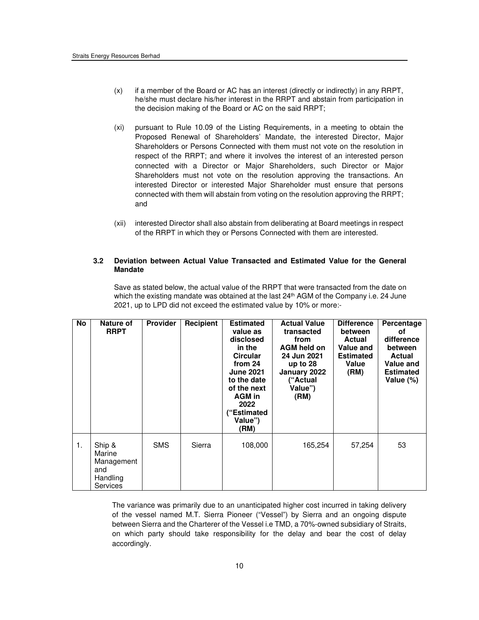- (x) if a member of the Board or AC has an interest (directly or indirectly) in any RRPT, he/she must declare his/her interest in the RRPT and abstain from participation in the decision making of the Board or AC on the said RRPT;
- (xi) pursuant to Rule 10.09 of the Listing Requirements, in a meeting to obtain the Proposed Renewal of Shareholders' Mandate, the interested Director, Major Shareholders or Persons Connected with them must not vote on the resolution in respect of the RRPT; and where it involves the interest of an interested person connected with a Director or Major Shareholders, such Director or Major Shareholders must not vote on the resolution approving the transactions. An interested Director or interested Major Shareholder must ensure that persons connected with them will abstain from voting on the resolution approving the RRPT; and
- (xii) interested Director shall also abstain from deliberating at Board meetings in respect of the RRPT in which they or Persons Connected with them are interested.

### **3.2 Deviation between Actual Value Transacted and Estimated Value for the General Mandate**

Save as stated below, the actual value of the RRPT that were transacted from the date on which the existing mandate was obtained at the last 24<sup>th</sup> AGM of the Company i.e. 24 June 2021, up to LPD did not exceed the estimated value by 10% or more:-

| <b>No</b> | Nature of<br><b>RRPT</b>                                      | <b>Provider</b> | Recipient | <b>Estimated</b><br>value as<br>disclosed<br>in the<br><b>Circular</b><br>from 24<br><b>June 2021</b><br>to the date<br>of the next<br><b>AGM</b> in<br>2022<br>("Estimated<br>Value")<br>(RM) | <b>Actual Value</b><br>transacted<br>from<br>AGM held on<br>24 Jun 2021<br>up to $28$<br>January 2022<br>("Actual<br>Value")<br>(RM) | <b>Difference</b><br>between<br>Actual<br>Value and<br><b>Estimated</b><br>Value<br>(RM) | Percentage<br>οf<br>difference<br>between<br><b>Actual</b><br><b>Value and</b><br><b>Estimated</b><br>Value (%) |
|-----------|---------------------------------------------------------------|-----------------|-----------|------------------------------------------------------------------------------------------------------------------------------------------------------------------------------------------------|--------------------------------------------------------------------------------------------------------------------------------------|------------------------------------------------------------------------------------------|-----------------------------------------------------------------------------------------------------------------|
| 1.        | Ship &<br>Marine<br>Management<br>and<br>Handling<br>Services | <b>SMS</b>      | Sierra    | 108,000                                                                                                                                                                                        | 165,254                                                                                                                              | 57,254                                                                                   | 53                                                                                                              |

The variance was primarily due to an unanticipated higher cost incurred in taking delivery of the vessel named M.T. Sierra Pioneer ("Vessel") by Sierra and an ongoing dispute between Sierra and the Charterer of the Vessel i.e TMD, a 70%-owned subsidiary of Straits, on which party should take responsibility for the delay and bear the cost of delay accordingly.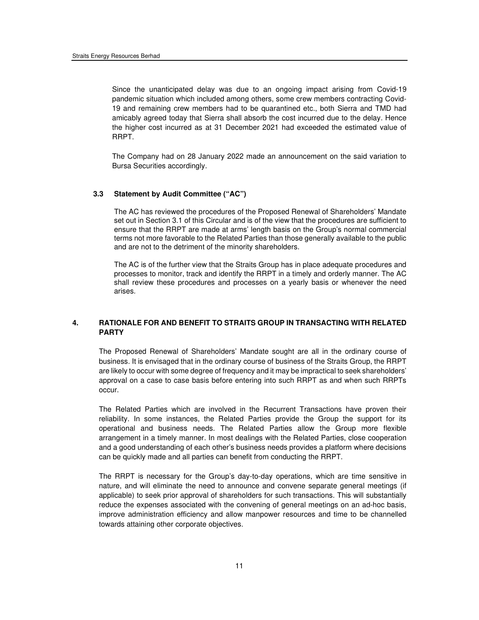Since the unanticipated delay was due to an ongoing impact arising from Covid-19 pandemic situation which included among others, some crew members contracting Covid-19 and remaining crew members had to be quarantined etc., both Sierra and TMD had amicably agreed today that Sierra shall absorb the cost incurred due to the delay. Hence the higher cost incurred as at 31 December 2021 had exceeded the estimated value of RRPT.

The Company had on 28 January 2022 made an announcement on the said variation to Bursa Securities accordingly.

#### **3.3 Statement by Audit Committee ("AC")**

The AC has reviewed the procedures of the Proposed Renewal of Shareholders' Mandate set out in Section 3.1 of this Circular and is of the view that the procedures are sufficient to ensure that the RRPT are made at arms' length basis on the Group's normal commercial terms not more favorable to the Related Parties than those generally available to the public and are not to the detriment of the minority shareholders.

The AC is of the further view that the Straits Group has in place adequate procedures and processes to monitor, track and identify the RRPT in a timely and orderly manner. The AC shall review these procedures and processes on a yearly basis or whenever the need arises.

## **4. RATIONALE FOR AND BENEFIT TO STRAITS GROUP IN TRANSACTING WITH RELATED PARTY**

The Proposed Renewal of Shareholders' Mandate sought are all in the ordinary course of business. It is envisaged that in the ordinary course of business of the Straits Group, the RRPT are likely to occur with some degree of frequency and it may be impractical to seek shareholders' approval on a case to case basis before entering into such RRPT as and when such RRPTs occur.

The Related Parties which are involved in the Recurrent Transactions have proven their reliability. In some instances, the Related Parties provide the Group the support for its operational and business needs. The Related Parties allow the Group more flexible arrangement in a timely manner. In most dealings with the Related Parties, close cooperation and a good understanding of each other's business needs provides a platform where decisions can be quickly made and all parties can benefit from conducting the RRPT.

The RRPT is necessary for the Group's day-to-day operations, which are time sensitive in nature, and will eliminate the need to announce and convene separate general meetings (if applicable) to seek prior approval of shareholders for such transactions. This will substantially reduce the expenses associated with the convening of general meetings on an ad-hoc basis, improve administration efficiency and allow manpower resources and time to be channelled towards attaining other corporate objectives.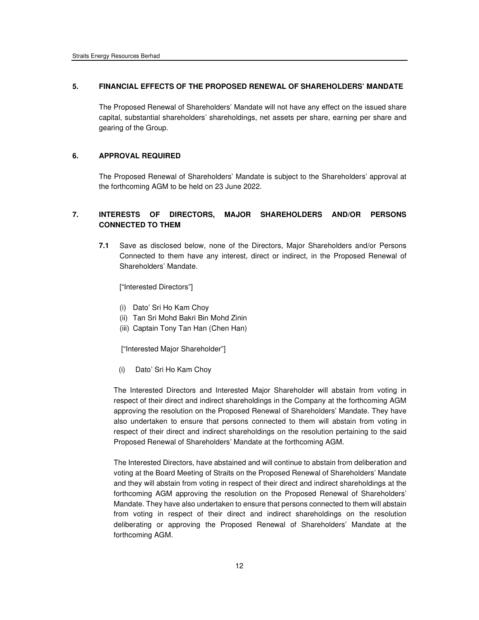## **5. FINANCIAL EFFECTS OF THE PROPOSED RENEWAL OF SHAREHOLDERS' MANDATE**

The Proposed Renewal of Shareholders' Mandate will not have any effect on the issued share capital, substantial shareholders' shareholdings, net assets per share, earning per share and gearing of the Group.

## **6. APPROVAL REQUIRED**

The Proposed Renewal of Shareholders' Mandate is subject to the Shareholders' approval at the forthcoming AGM to be held on 23 June 2022.

# **7. INTERESTS OF DIRECTORS, MAJOR SHAREHOLDERS AND/OR PERSONS CONNECTED TO THEM**

**7.1** Save as disclosed below, none of the Directors, Major Shareholders and/or Persons Connected to them have any interest, direct or indirect, in the Proposed Renewal of Shareholders' Mandate.

["Interested Directors"]

- (i) Dato' Sri Ho Kam Choy
- (ii) Tan Sri Mohd Bakri Bin Mohd Zinin
- (iii) Captain Tony Tan Han (Chen Han)

["Interested Major Shareholder"]

(i) Dato' Sri Ho Kam Choy

The Interested Directors and Interested Major Shareholder will abstain from voting in respect of their direct and indirect shareholdings in the Company at the forthcoming AGM approving the resolution on the Proposed Renewal of Shareholders' Mandate. They have also undertaken to ensure that persons connected to them will abstain from voting in respect of their direct and indirect shareholdings on the resolution pertaining to the said Proposed Renewal of Shareholders' Mandate at the forthcoming AGM.

The Interested Directors, have abstained and will continue to abstain from deliberation and voting at the Board Meeting of Straits on the Proposed Renewal of Shareholders' Mandate and they will abstain from voting in respect of their direct and indirect shareholdings at the forthcoming AGM approving the resolution on the Proposed Renewal of Shareholders' Mandate. They have also undertaken to ensure that persons connected to them will abstain from voting in respect of their direct and indirect shareholdings on the resolution deliberating or approving the Proposed Renewal of Shareholders' Mandate at the forthcoming AGM.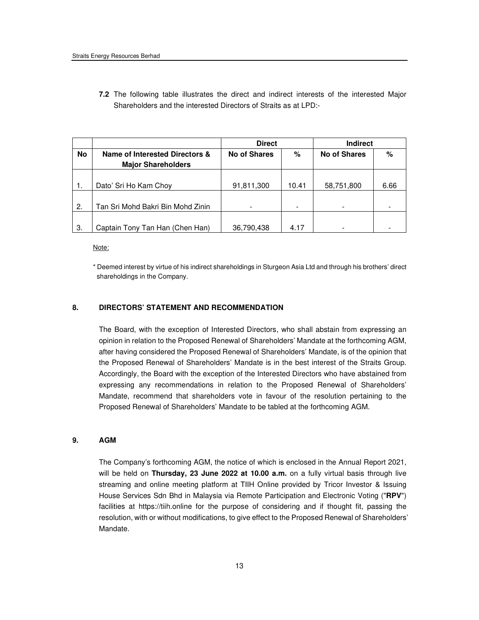**7.2** The following table illustrates the direct and indirect interests of the interested Major Shareholders and the interested Directors of Straits as at LPD:-

|           |                                                             | <b>Direct</b> |       | <b>Indirect</b>     |      |  |
|-----------|-------------------------------------------------------------|---------------|-------|---------------------|------|--|
| <b>No</b> | Name of Interested Directors &<br><b>Major Shareholders</b> | No of Shares  | %     | <b>No of Shares</b> | %    |  |
|           |                                                             |               |       |                     |      |  |
|           | Dato' Sri Ho Kam Choy                                       | 91,811,300    | 10.41 | 58,751,800          | 6.66 |  |
|           |                                                             |               |       |                     |      |  |
| 2.        | Tan Sri Mohd Bakri Bin Mohd Zinin                           |               |       |                     |      |  |
|           |                                                             |               |       |                     |      |  |
| -3.       | Captain Tony Tan Han (Chen Han)                             | 36,790,438    | 4.17  |                     |      |  |

Note:

\* Deemed interest by virtue of his indirect shareholdings in Sturgeon Asia Ltd and through his brothers' direct shareholdings in the Company.

## **8. DIRECTORS' STATEMENT AND RECOMMENDATION**

The Board, with the exception of Interested Directors, who shall abstain from expressing an opinion in relation to the Proposed Renewal of Shareholders' Mandate at the forthcoming AGM, after having considered the Proposed Renewal of Shareholders' Mandate, is of the opinion that the Proposed Renewal of Shareholders' Mandate is in the best interest of the Straits Group. Accordingly, the Board with the exception of the Interested Directors who have abstained from expressing any recommendations in relation to the Proposed Renewal of Shareholders' Mandate, recommend that shareholders vote in favour of the resolution pertaining to the Proposed Renewal of Shareholders' Mandate to be tabled at the forthcoming AGM.

#### **9. AGM**

The Company's forthcoming AGM, the notice of which is enclosed in the Annual Report 2021, will be held on **Thursday, 23 June 2022 at 10.00 a.m.** on a fully virtual basis through live streaming and online meeting platform at TIIH Online provided by Tricor Investor & Issuing House Services Sdn Bhd in Malaysia via Remote Participation and Electronic Voting ("**RPV**") facilities at https://tiih.online for the purpose of considering and if thought fit, passing the resolution, with or without modifications, to give effect to the Proposed Renewal of Shareholders' Mandate.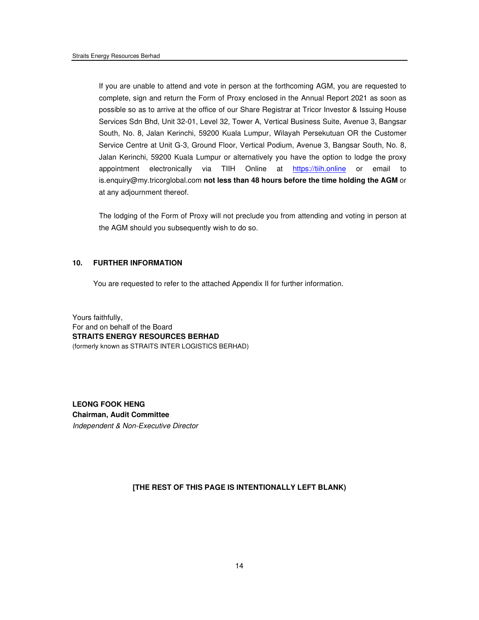If you are unable to attend and vote in person at the forthcoming AGM, you are requested to complete, sign and return the Form of Proxy enclosed in the Annual Report 2021 as soon as possible so as to arrive at the office of our Share Registrar at Tricor Investor & Issuing House Services Sdn Bhd, Unit 32-01, Level 32, Tower A, Vertical Business Suite, Avenue 3, Bangsar South, No. 8, Jalan Kerinchi, 59200 Kuala Lumpur, Wilayah Persekutuan OR the Customer Service Centre at Unit G-3, Ground Floor, Vertical Podium, Avenue 3, Bangsar South, No. 8, Jalan Kerinchi, 59200 Kuala Lumpur or alternatively you have the option to lodge the proxy appointment electronically via TIIH Online at https://tiih.online or email to is.enquiry@my.tricorglobal.com **not less than 48 hours before the time holding the AGM** or at any adjournment thereof.

The lodging of the Form of Proxy will not preclude you from attending and voting in person at the AGM should you subsequently wish to do so.

### **10. FURTHER INFORMATION**

You are requested to refer to the attached Appendix II for further information.

Yours faithfully, For and on behalf of the Board **STRAITS ENERGY RESOURCES BERHAD**  (formerly known as STRAITS INTER LOGISTICS BERHAD)

**LEONG FOOK HENG Chairman, Audit Committee**  Independent & Non-Executive Director

**[THE REST OF THIS PAGE IS INTENTIONALLY LEFT BLANK)**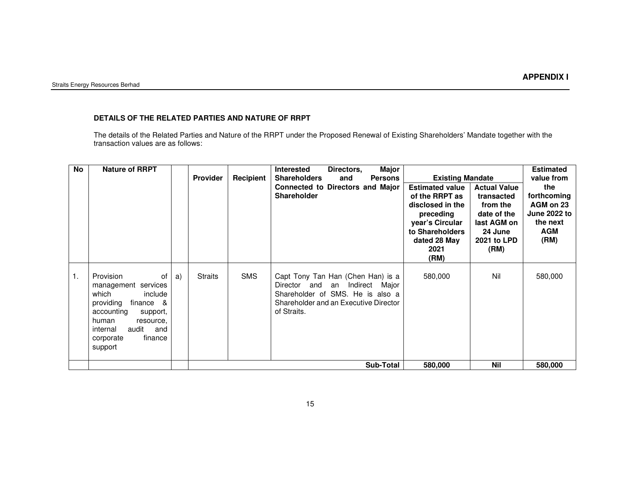# **DETAILS OF THE RELATED PARTIES AND NATURE OF RRPT**

The details of the Related Parties and Nature of the RRPT under the Proposed Renewal of Existing Shareholders' Mandate together with the transaction values are as follows:

| No | <b>Nature of RRPT</b>                                                                                                                                                                                  |    | <b>Provider</b> | Recipient  | <b>Major</b><br><b>Interested</b><br>Directors,<br><b>Shareholders</b><br><b>Persons</b><br>and<br><b>Connected to Directors and Major</b><br><b>Shareholder</b>         | <b>Existing Mandate</b><br><b>Estimated value</b><br>of the RRPT as<br>disclosed in the<br>preceding<br>year's Circular<br>to Shareholders<br>dated 28 May<br>2021<br>(RM) | <b>Actual Value</b><br>transacted<br>from the<br>date of the<br>last AGM on<br>24 June<br>2021 to LPD<br>(RM) | <b>Estimated</b><br>value from<br>the<br>forthcoming<br>AGM on 23<br><b>June 2022 to</b><br>the next<br>AGM<br>(RM) |
|----|--------------------------------------------------------------------------------------------------------------------------------------------------------------------------------------------------------|----|-----------------|------------|--------------------------------------------------------------------------------------------------------------------------------------------------------------------------|----------------------------------------------------------------------------------------------------------------------------------------------------------------------------|---------------------------------------------------------------------------------------------------------------|---------------------------------------------------------------------------------------------------------------------|
| 1. | Provision<br>οf<br>services<br>management<br>which<br>include<br>providing<br>finance &<br>accounting<br>support,<br>human<br>resource,<br>audit<br>internal<br>and<br>corporate<br>finance<br>support | a) | <b>Straits</b>  | <b>SMS</b> | Capt Tony Tan Han (Chen Han) is a<br>Director and<br>Indirect<br>Major<br>an<br>Shareholder of SMS. He is also a<br>Shareholder and an Executive Director<br>of Straits. | 580,000                                                                                                                                                                    | Nil                                                                                                           | 580,000                                                                                                             |
|    |                                                                                                                                                                                                        |    |                 |            | <b>Sub-Total</b>                                                                                                                                                         | 580,000                                                                                                                                                                    | <b>Nil</b>                                                                                                    | 580,000                                                                                                             |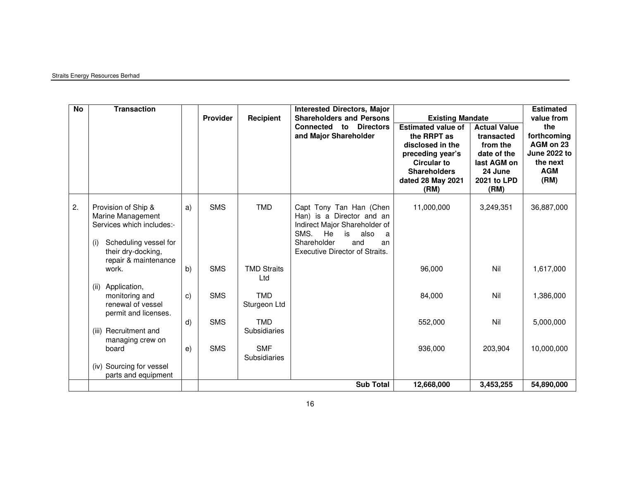## Straits Energy Resources Berhad

| <b>No</b> | <b>Transaction</b>                                                                                                                                  |              | <b>Provider</b> | Recipient                  | <b>Interested Directors, Major</b><br><b>Shareholders and Persons</b><br><b>Connected to Directors</b><br>and Major Shareholder                                                      | <b>Existing Mandate</b><br><b>Estimated value of</b><br>the RRPT as<br>disclosed in the<br>preceding year's<br><b>Circular to</b><br><b>Shareholders</b><br>dated 28 May 2021<br>(RM) | <b>Actual Value</b><br>transacted<br>from the<br>date of the<br>last AGM on<br>24 June<br>2021 to LPD<br>(RM) | <b>Estimated</b><br>value from<br>the<br>forthcoming<br>AGM on 23<br><b>June 2022 to</b><br>the next<br><b>AGM</b><br>(RM) |
|-----------|-----------------------------------------------------------------------------------------------------------------------------------------------------|--------------|-----------------|----------------------------|--------------------------------------------------------------------------------------------------------------------------------------------------------------------------------------|---------------------------------------------------------------------------------------------------------------------------------------------------------------------------------------|---------------------------------------------------------------------------------------------------------------|----------------------------------------------------------------------------------------------------------------------------|
| 2.        | Provision of Ship &<br>Marine Management<br>Services which includes:-<br>Scheduling vessel for<br>(i)<br>their dry-docking,<br>repair & maintenance | a)           | <b>SMS</b>      | <b>TMD</b>                 | Capt Tony Tan Han (Chen<br>Han) is a Director and an<br>Indirect Major Shareholder of<br>SMS.<br>He<br>is<br>also<br>a<br>Shareholder<br>and<br>an<br>Executive Director of Straits. | 11,000,000                                                                                                                                                                            | 3,249,351                                                                                                     | 36,887,000                                                                                                                 |
|           | work.                                                                                                                                               | b)           | <b>SMS</b>      | <b>TMD Straits</b><br>Ltd  |                                                                                                                                                                                      | 96,000                                                                                                                                                                                | Nil                                                                                                           | 1,617,000                                                                                                                  |
|           | Application,<br>(ii)<br>monitoring and<br>renewal of vessel<br>permit and licenses.                                                                 | $\mathsf{c}$ | <b>SMS</b>      | <b>TMD</b><br>Sturgeon Ltd |                                                                                                                                                                                      | 84,000                                                                                                                                                                                | Nil                                                                                                           | 1,386,000                                                                                                                  |
|           | (iii) Recruitment and<br>managing crew on                                                                                                           | d)           | <b>SMS</b>      | <b>TMD</b><br>Subsidiaries |                                                                                                                                                                                      | 552,000                                                                                                                                                                               | Nil                                                                                                           | 5,000,000                                                                                                                  |
|           | board                                                                                                                                               | e)           | <b>SMS</b>      | <b>SMF</b><br>Subsidiaries |                                                                                                                                                                                      | 936,000                                                                                                                                                                               | 203,904                                                                                                       | 10,000,000                                                                                                                 |
|           | (iv) Sourcing for vessel<br>parts and equipment                                                                                                     |              |                 |                            |                                                                                                                                                                                      |                                                                                                                                                                                       |                                                                                                               |                                                                                                                            |
|           |                                                                                                                                                     |              |                 |                            | <b>Sub Total</b>                                                                                                                                                                     | 12,668,000                                                                                                                                                                            | 3,453,255                                                                                                     | 54,890,000                                                                                                                 |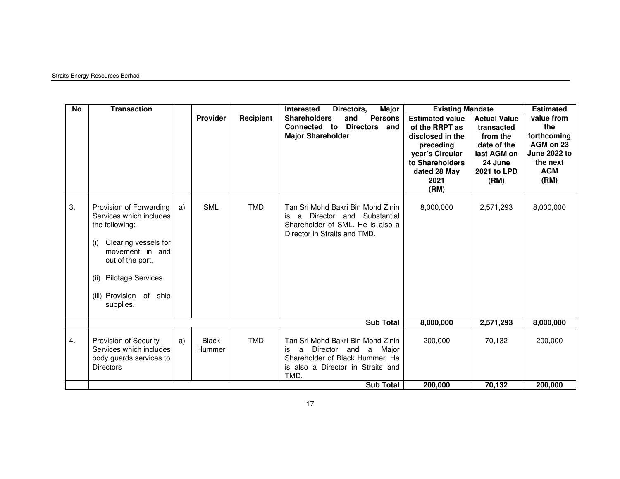## Straits Energy Resources Berhad

| No | <b>Transaction</b>                                                                                                                                                                                                |    | Provider               | Recipient  | <b>Interested</b><br>Major<br>Directors,<br><b>Persons</b><br><b>Shareholders</b><br>and<br><b>Directors</b><br><b>Connected</b><br>to<br>and<br><b>Major Shareholder</b> | <b>Existing Mandate</b><br><b>Estimated value</b><br>of the RRPT as<br>disclosed in the<br>preceding<br>year's Circular<br>to Shareholders<br>dated 28 May<br>2021<br>(RM) | <b>Actual Value</b><br>transacted<br>from the<br>date of the<br>last AGM on<br>24 June<br>2021 to LPD<br>(RM) | <b>Estimated</b><br>value from<br>the<br>forthcoming<br>AGM on 23<br>June 2022 to<br>the next<br><b>AGM</b><br>(RM) |
|----|-------------------------------------------------------------------------------------------------------------------------------------------------------------------------------------------------------------------|----|------------------------|------------|---------------------------------------------------------------------------------------------------------------------------------------------------------------------------|----------------------------------------------------------------------------------------------------------------------------------------------------------------------------|---------------------------------------------------------------------------------------------------------------|---------------------------------------------------------------------------------------------------------------------|
| 3. | Provision of Forwarding<br>Services which includes<br>the following:-<br>Clearing vessels for<br>(i)<br>movement in and<br>out of the port.<br>Pilotage Services.<br>(ii)<br>(iii) Provision of ship<br>supplies. | a) | <b>SML</b>             | <b>TMD</b> | Tan Sri Mohd Bakri Bin Mohd Zinin<br>a Director and Substantial<br>is<br>Shareholder of SML. He is also a<br>Director in Straits and TMD.                                 | 8,000,000                                                                                                                                                                  | 2,571,293                                                                                                     | 8,000,000                                                                                                           |
|    |                                                                                                                                                                                                                   |    |                        |            | <b>Sub Total</b>                                                                                                                                                          | 8,000,000                                                                                                                                                                  | 2,571,293                                                                                                     | 8,000,000                                                                                                           |
| 4. | Provision of Security<br>Services which includes<br>body guards services to<br><b>Directors</b>                                                                                                                   | a) | <b>Black</b><br>Hummer | <b>TMD</b> | Tan Sri Mohd Bakri Bin Mohd Zinin<br>Director and<br>Major<br>a<br>a<br>is<br>Shareholder of Black Hummer, He<br>is also a Director in Straits and<br>TMD.                | 200,000                                                                                                                                                                    | 70.132                                                                                                        | 200,000                                                                                                             |
|    |                                                                                                                                                                                                                   |    |                        |            | <b>Sub Total</b>                                                                                                                                                          | 200,000                                                                                                                                                                    | 70,132                                                                                                        | 200,000                                                                                                             |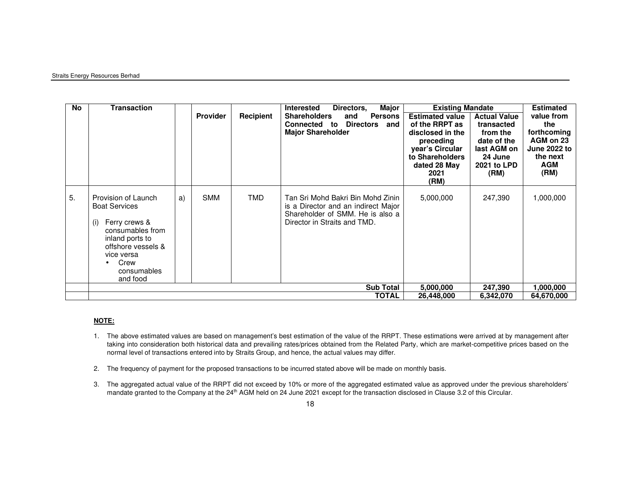#### Straits Energy Resources Berhad

| <b>No</b> | <b>Transaction</b>                                                                                                                                                                |    | <b>Provider</b> | Recipient  | Major<br><b>Interested</b><br>Directors,<br><b>Shareholders</b><br><b>Persons</b><br>and<br><b>Connected to Directors</b><br>and<br><b>Major Shareholder</b> | <b>Existing Mandate</b><br><b>Estimated value</b><br>of the RRPT as<br>disclosed in the<br>preceding<br>year's Circular<br>to Shareholders<br>dated 28 May<br>2021<br>(RM) | <b>Actual Value</b><br>transacted<br>from the<br>date of the<br>last AGM on<br>24 June<br>2021 to LPD<br>(RM) | <b>Estimated</b><br>value from<br>the<br>forthcoming<br>AGM on 23<br><b>June 2022 to</b><br>the next<br><b>AGM</b><br>(RM) |
|-----------|-----------------------------------------------------------------------------------------------------------------------------------------------------------------------------------|----|-----------------|------------|--------------------------------------------------------------------------------------------------------------------------------------------------------------|----------------------------------------------------------------------------------------------------------------------------------------------------------------------------|---------------------------------------------------------------------------------------------------------------|----------------------------------------------------------------------------------------------------------------------------|
| 5.        | Provision of Launch<br><b>Boat Services</b><br>Ferry crews &<br>(i)<br>consumables from<br>inland ports to<br>offshore vessels &<br>vice versa<br>Crew<br>consumables<br>and food | a) | <b>SMM</b>      | <b>TMD</b> | Tan Sri Mohd Bakri Bin Mohd Zinin<br>is a Director and an indirect Major<br>Shareholder of SMM. He is also a<br>Director in Straits and TMD.                 | 5,000,000                                                                                                                                                                  | 247,390                                                                                                       | 1,000,000                                                                                                                  |
|           |                                                                                                                                                                                   |    |                 |            | <b>Sub Total</b>                                                                                                                                             | 5,000,000                                                                                                                                                                  | 247,390                                                                                                       | 1,000,000                                                                                                                  |
|           |                                                                                                                                                                                   |    |                 |            | TOTAL                                                                                                                                                        | 26,448,000                                                                                                                                                                 | 6,342,070                                                                                                     | 64,670,000                                                                                                                 |

#### **NOTE:**

- 1. The above estimated values are based on management's best estimation of the value of the RRPT. These estimations were arrived at by management after taking into consideration both historical data and prevailing rates/prices obtained from the Related Party, which are market-competitive prices based on the normal level of transactions entered into by Straits Group, and hence, the actual values may differ.
- 2. The frequency of payment for the proposed transactions to be incurred stated above will be made on monthly basis.
- 3. The aggregated actual value of the RRPT did not exceed by 10% or more of the aggregated estimated value as approved under the previous shareholders' mandate granted to the Company at the 24<sup>th</sup> AGM held on 24 June 2021 except for the transaction disclosed in Clause 3.2 of this Circular.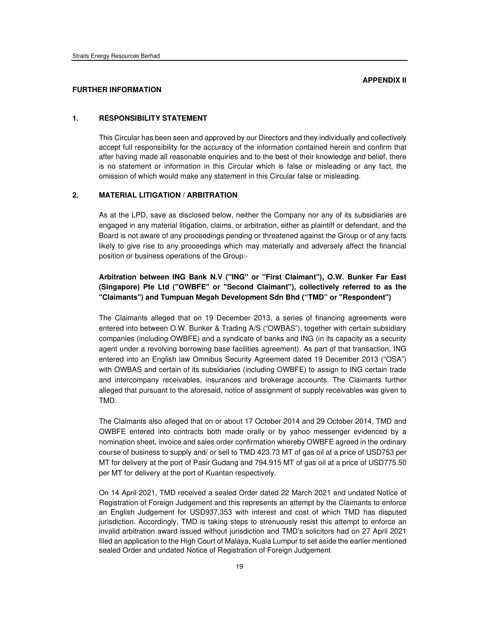### **FURTHER INFORMATION**

### **1. RESPONSIBILITY STATEMENT**

This Circular has been seen and approved by our Directors and they individually and collectively accept full responsibility for the accuracy of the information contained herein and confirm that after having made all reasonable enquiries and to the best of their knowledge and belief, there is no statement or information in this Circular which is false or misleading or any fact, the omission of which would make any statement in this Circular false or misleading.

## **2. MATERIAL LITIGATION / ARBITRATION**

As at the LPD, save as disclosed below, neither the Company nor any of its subsidiaries are engaged in any material litigation, claims, or arbitration, either as plaintiff or defendant, and the Board is not aware of any proceedings pending or threatened against the Group or of any facts likely to give rise to any proceedings which may materially and adversely affect the financial position or business operations of the Group:-

# **Arbitration between ING Bank N.V ("ING" or "First Claimant"), O.W. Bunker Far East (Singapore) Pte Ltd ("OWBFE" or "Second Claimant"), collectively referred to as the "Claimants") and Tumpuan Megah Development Sdn Bhd ("TMD" or "Respondent")**

The Claimants alleged that on 19 December 2013, a series of financing agreements were entered into between O.W. Bunker & Trading A/S ("OWBAS"), together with certain subsidiary companies (including OWBFE) and a syndicate of banks and ING (in its capacity as a security agent under a revolving borrowing base facilities agreement). As part of that transaction, ING entered into an English law Omnibus Security Agreement dated 19 December 2013 ("OSA") with OWBAS and certain of its subsidiaries (including OWBFE) to assign to ING certain trade and intercompany receivables, insurances and brokerage accounts. The Claimants further alleged that pursuant to the aforesaid, notice of assignment of supply receivables was given to TMD.

The Claimants also alleged that on or about 17 October 2014 and 29 October 2014, TMD and OWBFE entered into contracts both made orally or by yahoo messenger evidenced by a nomination sheet, invoice and sales order confirmation whereby OWBFE agreed in the ordinary course of business to supply and/ or sell to TMD 423.73 MT of gas oil at a price of USD753 per MT for delivery at the port of Pasir Gudang and 794.915 MT of gas oil at a price of USD775.50 per MT for delivery at the port of Kuantan respectively.

On 14 April 2021, TMD received a sealed Order dated 22 March 2021 and undated Notice of Registration of Foreign Judgement and this represents an attempt by the Claimants to enforce an English Judgement for USD937,353 with interest and cost of which TMD has disputed jurisdiction. Accordingly, TMD is taking steps to strenuously resist this attempt to enforce an invalid arbitration award issued without jurisdiction and TMD's solicitors had on 27 April 2021 filed an application to the High Court of Malaya, Kuala Lumpur to set aside the earlier mentioned sealed Order and undated Notice of Registration of Foreign Judgement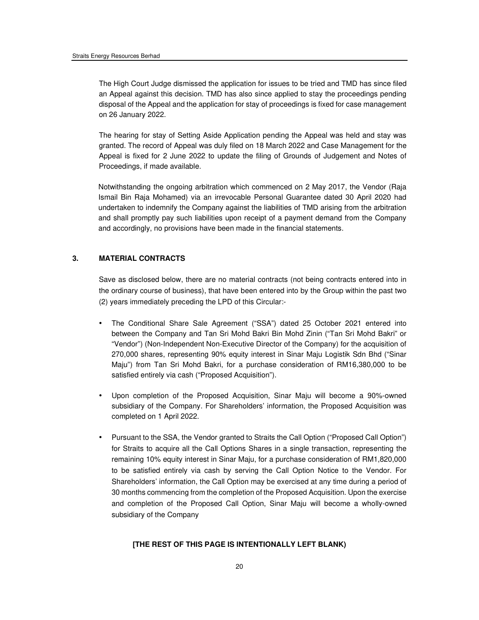The High Court Judge dismissed the application for issues to be tried and TMD has since filed an Appeal against this decision. TMD has also since applied to stay the proceedings pending disposal of the Appeal and the application for stay of proceedings is fixed for case management on 26 January 2022.

The hearing for stay of Setting Aside Application pending the Appeal was held and stay was granted. The record of Appeal was duly filed on 18 March 2022 and Case Management for the Appeal is fixed for 2 June 2022 to update the filing of Grounds of Judgement and Notes of Proceedings, if made available.

Notwithstanding the ongoing arbitration which commenced on 2 May 2017, the Vendor (Raja Ismail Bin Raja Mohamed) via an irrevocable Personal Guarantee dated 30 April 2020 had undertaken to indemnify the Company against the liabilities of TMD arising from the arbitration and shall promptly pay such liabilities upon receipt of a payment demand from the Company and accordingly, no provisions have been made in the financial statements.

## **3. MATERIAL CONTRACTS**

Save as disclosed below, there are no material contracts (not being contracts entered into in the ordinary course of business), that have been entered into by the Group within the past two (2) years immediately preceding the LPD of this Circular:-

- The Conditional Share Sale Agreement ("SSA") dated 25 October 2021 entered into between the Company and Tan Sri Mohd Bakri Bin Mohd Zinin ("Tan Sri Mohd Bakri" or "Vendor") (Non-Independent Non-Executive Director of the Company) for the acquisition of 270,000 shares, representing 90% equity interest in Sinar Maju Logistik Sdn Bhd ("Sinar Maju") from Tan Sri Mohd Bakri, for a purchase consideration of RM16,380,000 to be satisfied entirely via cash ("Proposed Acquisition").
- Upon completion of the Proposed Acquisition, Sinar Maju will become a 90%-owned subsidiary of the Company. For Shareholders' information, the Proposed Acquisition was completed on 1 April 2022.
- Pursuant to the SSA, the Vendor granted to Straits the Call Option ("Proposed Call Option") for Straits to acquire all the Call Options Shares in a single transaction, representing the remaining 10% equity interest in Sinar Maju, for a purchase consideration of RM1,820,000 to be satisfied entirely via cash by serving the Call Option Notice to the Vendor. For Shareholders' information, the Call Option may be exercised at any time during a period of 30 months commencing from the completion of the Proposed Acquisition. Upon the exercise and completion of the Proposed Call Option, Sinar Maju will become a wholly-owned subsidiary of the Company

#### **[THE REST OF THIS PAGE IS INTENTIONALLY LEFT BLANK)**